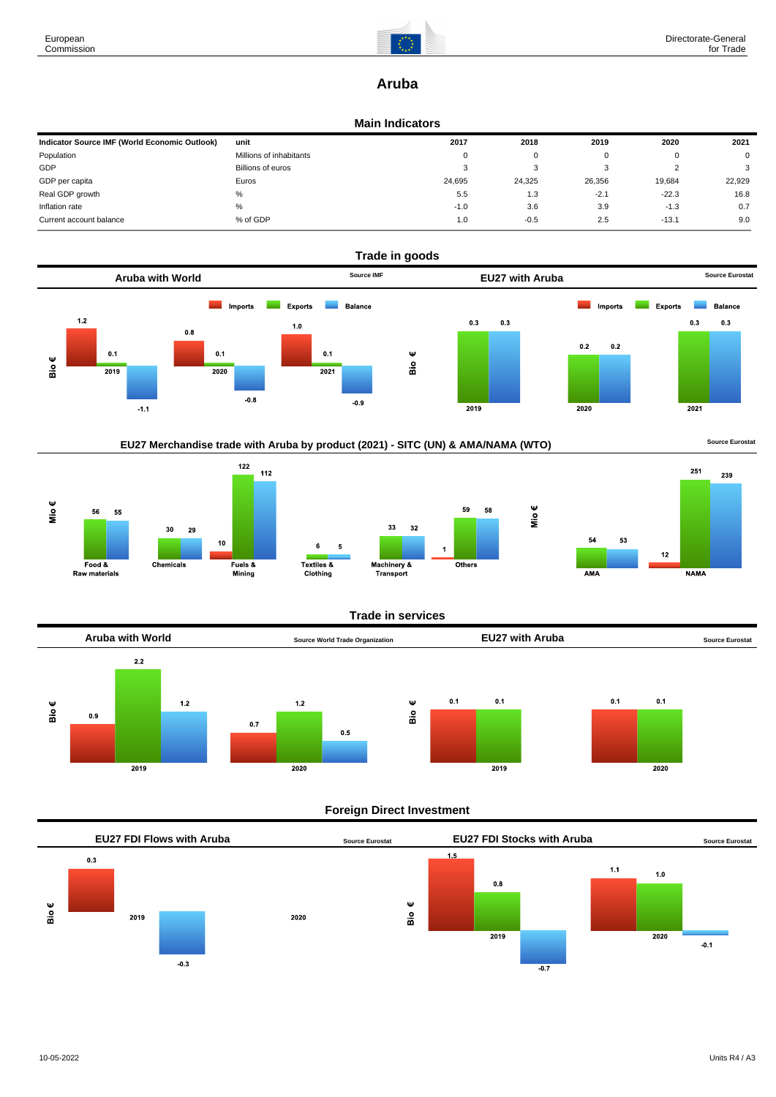

## **Aruba**

#### **Main Indicators**

| Indicator Source IMF (World Economic Outlook) | unit                    | 2017   | 2018   | 2019   | 2020    | 2021   |
|-----------------------------------------------|-------------------------|--------|--------|--------|---------|--------|
| Population                                    | Millions of inhabitants | 0      | 0      |        |         | 0      |
| GDP                                           | Billions of euros       | ۰      | 3      |        | ı       | 3      |
| GDP per capita                                | Euros                   | 24.695 | 24.325 | 26.356 | 19,684  | 22.929 |
| Real GDP growth                               | %                       | 5.5    | 1.3    | $-2.1$ | $-22.3$ | 16.8   |
| Inflation rate                                | %                       | $-1.0$ | 3.6    | 3.9    | $-1.3$  | 0.7    |
| Current account balance                       | % of GDP                | 1.0    | $-0.5$ | 2.5    | $-13.1$ | 9.0    |











Mio€



#### **Trade in services**



#### **Foreign Direct Investment**